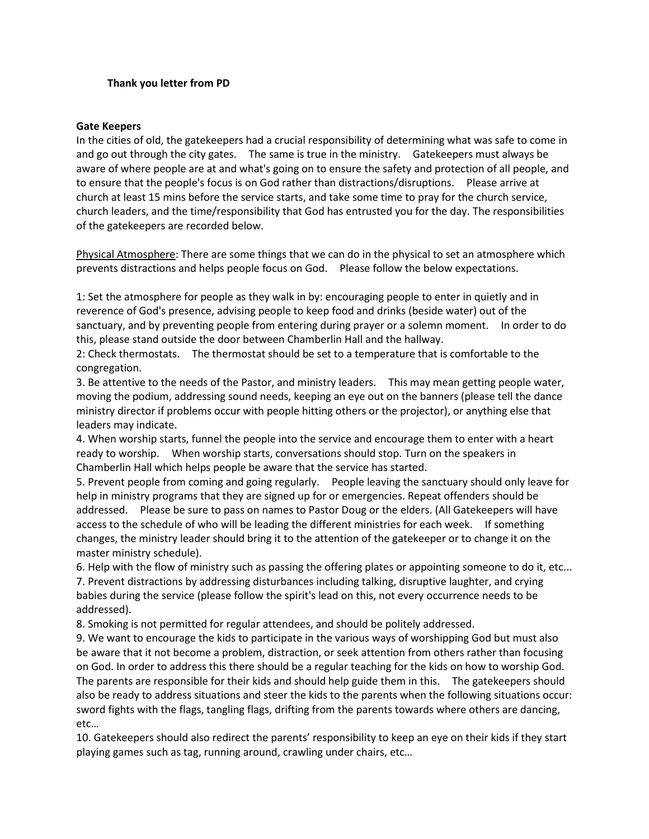### **Thank you letter from PD**

#### **Gate Keepers**

In the cities of old, the gatekeepers had a crucial responsibility of determining what was safe to come in and go out through the city gates. The same is true in the ministry. Gatekeepers must always be aware of where people are at and what's going on to ensure the safety and protection of all people, and to ensure that the people's focus is on God rather than distractions/disruptions. Please arrive at church at least 15 mins before the service starts, and take some time to pray for the church service, church leaders, and the time/responsibility that God has entrusted you for the day. The responsibilities of the gatekeepers are recorded below.

Physical Atmosphere: There are some things that we can do in the physical to set an atmosphere which prevents distractions and helps people focus on God. Please follow the below expectations.

1: Set the atmosphere for people as they walk in by: encouraging people to enter in quietly and in reverence of God's presence, advising people to keep food and drinks (beside water) out of the sanctuary, and by preventing people from entering during prayer or a solemn moment. In order to do this, please stand outside the door between Chamberlin Hall and the hallway.

2: Check thermostats. The thermostat should be set to a temperature that is comfortable to the congregation.

3. Be attentive to the needs of the Pastor, and ministry leaders. This may mean getting people water, moving the podium, addressing sound needs, keeping an eye out on the banners (please tell the dance ministry director if problems occur with people hitting others or the projector), or anything else that leaders may indicate.

4. When worship starts, funnel the people into the service and encourage them to enter with a heart ready to worship. When worship starts, conversations should stop. Turn on the speakers in Chamberlin Hall which helps people be aware that the service has started.

5. Prevent people from coming and going regularly. People leaving the sanctuary should only leave for help in ministry programs that they are signed up for or emergencies. Repeat offenders should be addressed. Please be sure to pass on names to Pastor Doug or the elders. (All Gatekeepers will have access to the schedule of who will be leading the different ministries for each week. If something changes, the ministry leader should bring it to the attention of the gatekeeper or to change it on the master ministry schedule).

6. Help with the flow of ministry such as passing the offering plates or appointing someone to do it, etc...

7. Prevent distractions by addressing disturbances including talking, disruptive laughter, and crying babies during the service (please follow the spirit's lead on this, not every occurrence needs to be addressed).

8. Smoking is not permitted for regular attendees, and should be politely addressed.

9. We want to encourage the kids to participate in the various ways of worshipping God but must also be aware that it not become a problem, distraction, or seek attention from others rather than focusing on God. In order to address this there should be a regular teaching for the kids on how to worship God. The parents are responsible for their kids and should help guide them in this. The gatekeepers should also be ready to address situations and steer the kids to the parents when the following situations occur: sword fights with the flags, tangling flags, drifting from the parents towards where others are dancing, etc…

10. Gatekeepers should also redirect the parents' responsibility to keep an eye on their kids if they start playing games such as tag, running around, crawling under chairs, etc…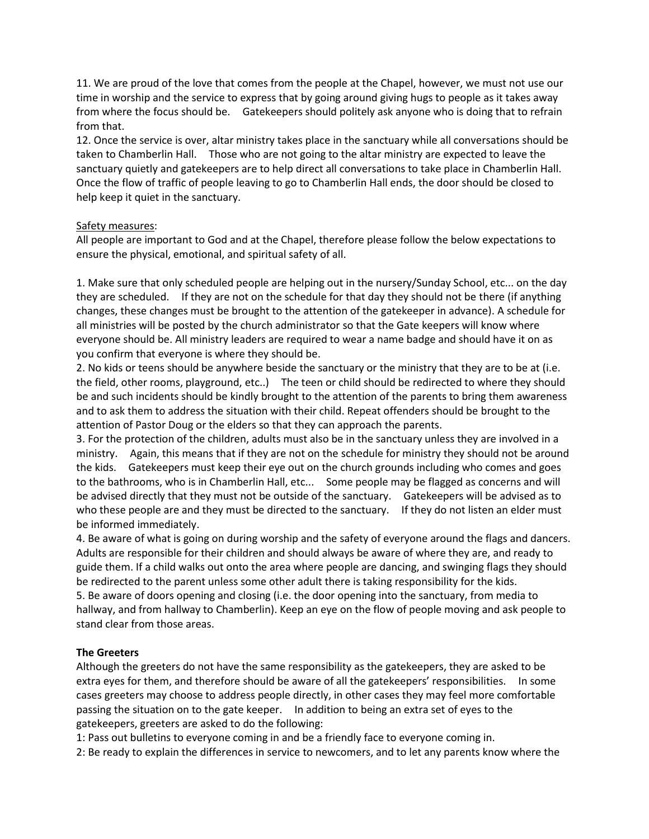11. We are proud of the love that comes from the people at the Chapel, however, we must not use our time in worship and the service to express that by going around giving hugs to people as it takes away from where the focus should be. Gatekeepers should politely ask anyone who is doing that to refrain from that.

12. Once the service is over, altar ministry takes place in the sanctuary while all conversations should be taken to Chamberlin Hall. Those who are not going to the altar ministry are expected to leave the sanctuary quietly and gatekeepers are to help direct all conversations to take place in Chamberlin Hall. Once the flow of traffic of people leaving to go to Chamberlin Hall ends, the door should be closed to help keep it quiet in the sanctuary.

### Safety measures:

All people are important to God and at the Chapel, therefore please follow the below expectations to ensure the physical, emotional, and spiritual safety of all.

1. Make sure that only scheduled people are helping out in the nursery/Sunday School, etc... on the day they are scheduled. If they are not on the schedule for that day they should not be there (if anything changes, these changes must be brought to the attention of the gatekeeper in advance). A schedule for all ministries will be posted by the church administrator so that the Gate keepers will know where everyone should be. All ministry leaders are required to wear a name badge and should have it on as you confirm that everyone is where they should be.

2. No kids or teens should be anywhere beside the sanctuary or the ministry that they are to be at (i.e. the field, other rooms, playground, etc..) The teen or child should be redirected to where they should be and such incidents should be kindly brought to the attention of the parents to bring them awareness and to ask them to address the situation with their child. Repeat offenders should be brought to the attention of Pastor Doug or the elders so that they can approach the parents.

3. For the protection of the children, adults must also be in the sanctuary unless they are involved in a ministry. Again, this means that if they are not on the schedule for ministry they should not be around the kids. Gatekeepers must keep their eye out on the church grounds including who comes and goes to the bathrooms, who is in Chamberlin Hall, etc... Some people may be flagged as concerns and will be advised directly that they must not be outside of the sanctuary. Gatekeepers will be advised as to who these people are and they must be directed to the sanctuary. If they do not listen an elder must be informed immediately.

4. Be aware of what is going on during worship and the safety of everyone around the flags and dancers. Adults are responsible for their children and should always be aware of where they are, and ready to guide them. If a child walks out onto the area where people are dancing, and swinging flags they should be redirected to the parent unless some other adult there is taking responsibility for the kids. 5. Be aware of doors opening and closing (i.e. the door opening into the sanctuary, from media to hallway, and from hallway to Chamberlin). Keep an eye on the flow of people moving and ask people to stand clear from those areas.

### **The Greeters**

Although the greeters do not have the same responsibility as the gatekeepers, they are asked to be extra eyes for them, and therefore should be aware of all the gatekeepers' responsibilities. In some cases greeters may choose to address people directly, in other cases they may feel more comfortable passing the situation on to the gate keeper. In addition to being an extra set of eyes to the gatekeepers, greeters are asked to do the following:

1: Pass out bulletins to everyone coming in and be a friendly face to everyone coming in.

2: Be ready to explain the differences in service to newcomers, and to let any parents know where the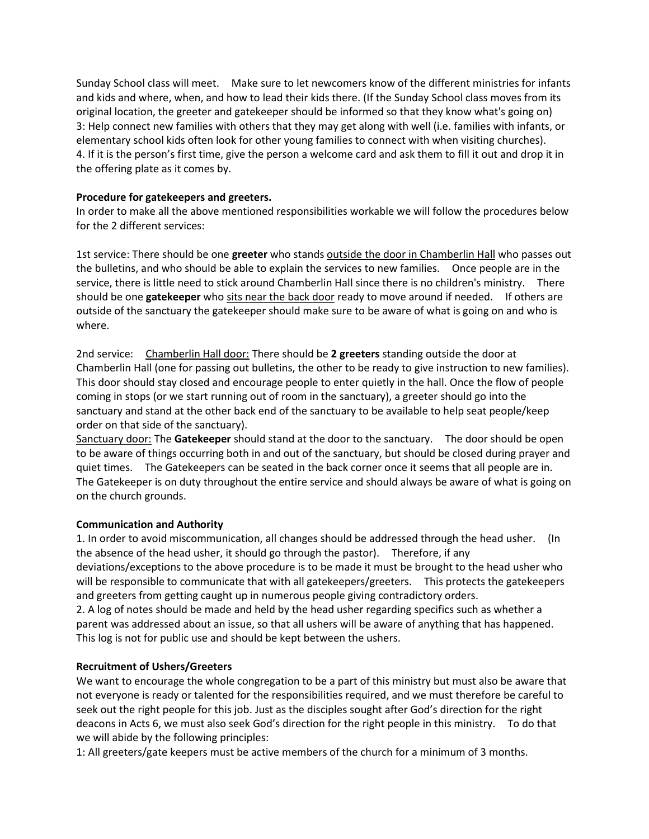Sunday School class will meet. Make sure to let newcomers know of the different ministries for infants and kids and where, when, and how to lead their kids there. (If the Sunday School class moves from its original location, the greeter and gatekeeper should be informed so that they know what's going on) 3: Help connect new families with others that they may get along with well (i.e. families with infants, or elementary school kids often look for other young families to connect with when visiting churches). 4. If it is the person's first time, give the person a welcome card and ask them to fill it out and drop it in the offering plate as it comes by.

## **Procedure for gatekeepers and greeters.**

In order to make all the above mentioned responsibilities workable we will follow the procedures below for the 2 different services:

1st service: There should be one **greeter** who stands outside the door in Chamberlin Hall who passes out the bulletins, and who should be able to explain the services to new families. Once people are in the service, there is little need to stick around Chamberlin Hall since there is no children's ministry. There should be one **gatekeeper** who sits near the back door ready to move around if needed. If others are outside of the sanctuary the gatekeeper should make sure to be aware of what is going on and who is where.

2nd service: Chamberlin Hall door: There should be **2 greeters** standing outside the door at Chamberlin Hall (one for passing out bulletins, the other to be ready to give instruction to new families). This door should stay closed and encourage people to enter quietly in the hall. Once the flow of people coming in stops (or we start running out of room in the sanctuary), a greeter should go into the sanctuary and stand at the other back end of the sanctuary to be available to help seat people/keep order on that side of the sanctuary).

Sanctuary door: The **Gatekeeper** should stand at the door to the sanctuary. The door should be open to be aware of things occurring both in and out of the sanctuary, but should be closed during prayer and quiet times. The Gatekeepers can be seated in the back corner once it seems that all people are in. The Gatekeeper is on duty throughout the entire service and should always be aware of what is going on on the church grounds.

# **Communication and Authority**

1. In order to avoid miscommunication, all changes should be addressed through the head usher. (In the absence of the head usher, it should go through the pastor). Therefore, if any deviations/exceptions to the above procedure is to be made it must be brought to the head usher who will be responsible to communicate that with all gatekeepers/greeters. This protects the gatekeepers and greeters from getting caught up in numerous people giving contradictory orders. 2. A log of notes should be made and held by the head usher regarding specifics such as whether a parent was addressed about an issue, so that all ushers will be aware of anything that has happened.

This log is not for public use and should be kept between the ushers.

# **Recruitment of Ushers/Greeters**

We want to encourage the whole congregation to be a part of this ministry but must also be aware that not everyone is ready or talented for the responsibilities required, and we must therefore be careful to seek out the right people for this job. Just as the disciples sought after God's direction for the right deacons in Acts 6, we must also seek God's direction for the right people in this ministry. To do that we will abide by the following principles:

1: All greeters/gate keepers must be active members of the church for a minimum of 3 months.